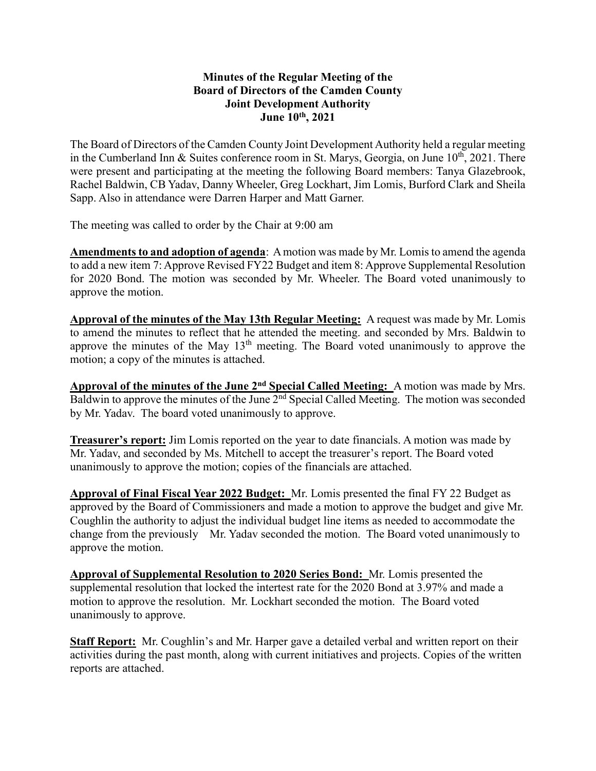## **Minutes of the Regular Meeting of the Board of Directors of the Camden County Joint Development Authority June 10th , 2021**

The Board of Directors of the Camden County Joint Development Authority held a regular meeting in the Cumberland Inn & Suites conference room in St. Marys, Georgia, on June  $10^{th}$ , 2021. There were present and participating at the meeting the following Board members: Tanya Glazebrook, Rachel Baldwin, CB Yadav, Danny Wheeler, Greg Lockhart, Jim Lomis, Burford Clark and Sheila Sapp. Also in attendance were Darren Harper and Matt Garner.

The meeting was called to order by the Chair at 9:00 am

**Amendments to and adoption of agenda**: A motion was made by Mr. Lomisto amend the agenda to add a new item 7: Approve Revised FY22 Budget and item 8: Approve Supplemental Resolution for 2020 Bond. The motion was seconded by Mr. Wheeler. The Board voted unanimously to approve the motion.

**Approval of the minutes of the May 13th Regular Meeting:** A request was made by Mr. Lomis to amend the minutes to reflect that he attended the meeting. and seconded by Mrs. Baldwin to approve the minutes of the May  $13<sup>th</sup>$  meeting. The Board voted unanimously to approve the motion; a copy of the minutes is attached.

**Approval of the minutes of the June 2nd Special Called Meeting:** A motion was made by Mrs. Baldwin to approve the minutes of the June 2<sup>nd</sup> Special Called Meeting. The motion was seconded by Mr. Yadav. The board voted unanimously to approve.

**Treasurer's report:** Jim Lomis reported on the year to date financials. A motion was made by Mr. Yadav, and seconded by Ms. Mitchell to accept the treasurer's report. The Board voted unanimously to approve the motion; copies of the financials are attached.

**Approval of Final Fiscal Year 2022 Budget:** Mr. Lomis presented the final FY 22 Budget as approved by the Board of Commissioners and made a motion to approve the budget and give Mr. Coughlin the authority to adjust the individual budget line items as needed to accommodate the change from the previously Mr. Yadav seconded the motion. The Board voted unanimously to approve the motion.

**Approval of Supplemental Resolution to 2020 Series Bond:** Mr. Lomis presented the supplemental resolution that locked the intertest rate for the 2020 Bond at 3.97% and made a motion to approve the resolution. Mr. Lockhart seconded the motion. The Board voted unanimously to approve.

**Staff Report:** Mr. Coughlin's and Mr. Harper gave a detailed verbal and written report on their activities during the past month, along with current initiatives and projects. Copies of the written reports are attached.